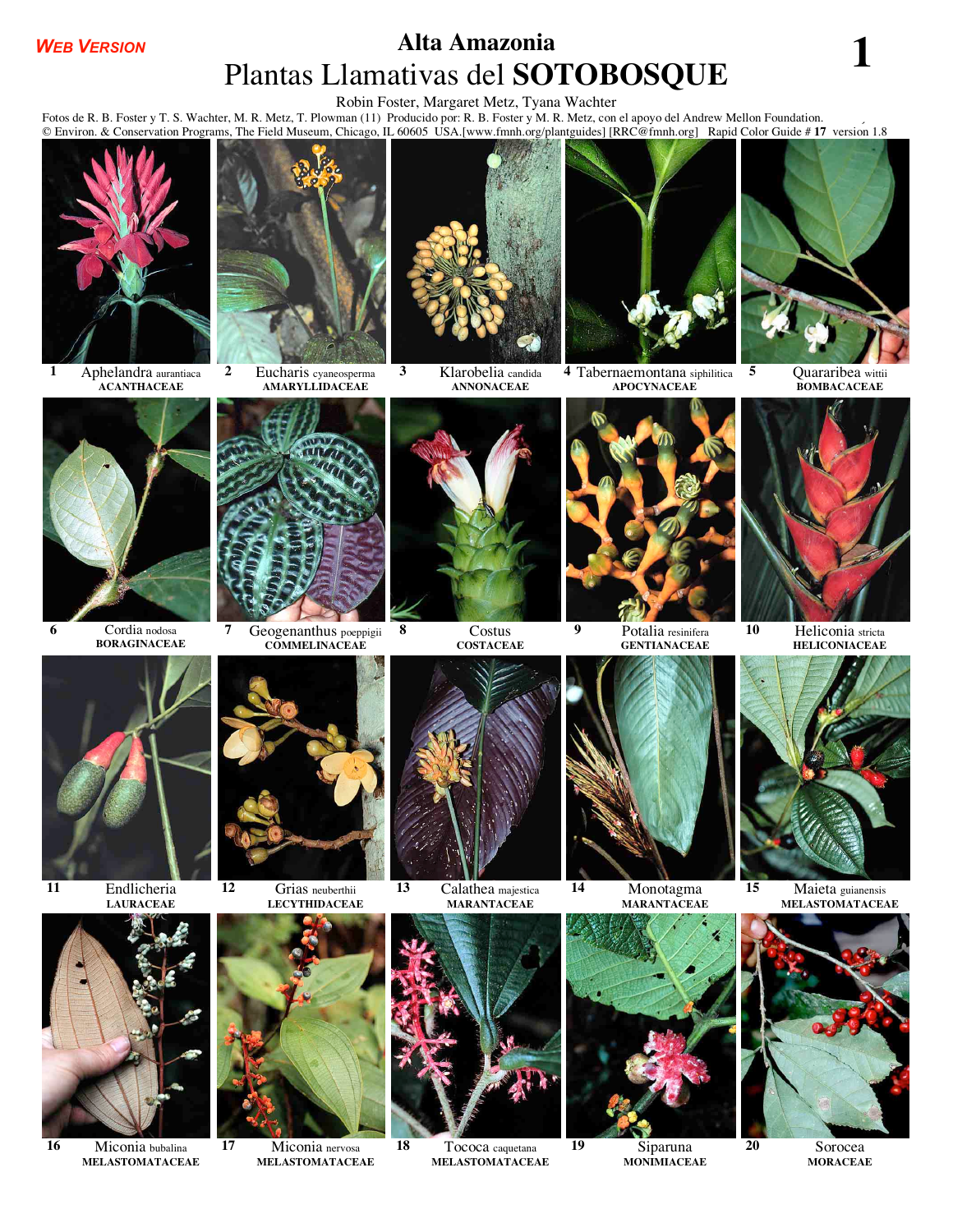## *WEB VERSION*

## **Alta Amazonia** Plantas Llamativas del **SOTOBOSQUE <sup>1</sup>**

Robin Foster, Margaret Metz, Tyana Wachter

Fotos de R. B. Foster y T. S. Wachter, M. R. Metz, T. Plowman (11) Producido por: R. B. Foster y M. R. Metz, con el apoyo del Andrew Mellon Foundation.



**16** Miconia bubalina **MELASTOMATACEAE**

**17** Miconia nervosa **MELASTOMATACEAE**

**18** Tococa caquetana **MELASTOMATACEAE**

**19** Siparuna **MONIMIACEAE**

**20** Sorocea **MORACEAE**